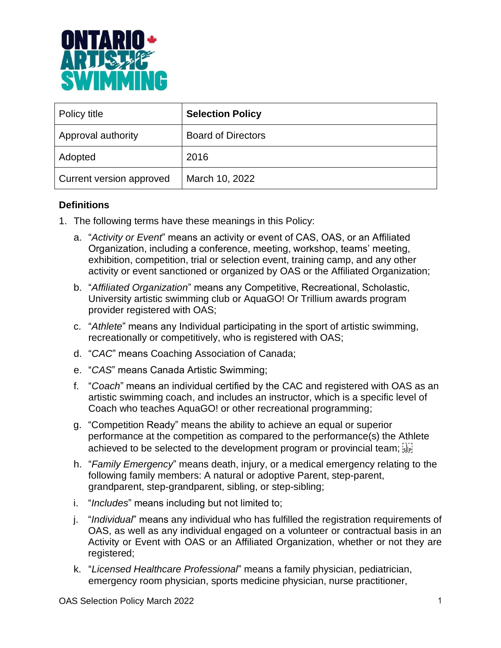

| Policy title             | <b>Selection Policy</b>   |
|--------------------------|---------------------------|
| Approval authority       | <b>Board of Directors</b> |
| Adopted                  | 2016                      |
| Current version approved | March 10, 2022            |

### **Definitions**

- 1. The following terms have these meanings in this Policy:
	- a. "*Activity or Event*" means an activity or event of CAS, OAS, or an Affiliated Organization, including a conference, meeting, workshop, teams' meeting, exhibition, competition, trial or selection event, training camp, and any other activity or event sanctioned or organized by OAS or the Affiliated Organization;
	- b. "*Affiliated Organization*" means any Competitive, Recreational, Scholastic, University artistic swimming club or AquaGO! Or Trillium awards program provider registered with OAS;
	- c. "*Athlete*" means any Individual participating in the sport of artistic swimming, recreationally or competitively, who is registered with OAS;
	- d. "*CAC*" means Coaching Association of Canada;
	- e. "*CAS*" means Canada Artistic Swimming;
	- f. "*Coach*" means an individual certified by the CAC and registered with OAS as an artistic swimming coach, and includes an instructor, which is a specific level of Coach who teaches AquaGO! or other recreational programming;
	- g. "Competition Ready" means the ability to achieve an equal or superior performance at the competition as compared to the performance(s) the Athlete achieved to be selected to the development program or provincial team;  $\frac{1}{15}$
	- h. "*Family Emergency*" means death, injury, or a medical emergency relating to the following family members: A natural or adoptive Parent, step-parent, grandparent, step-grandparent, sibling, or step-sibling;
	- i. "*Includes*" means including but not limited to;
	- j. "*Individual*" means any individual who has fulfilled the registration requirements of OAS, as well as any individual engaged on a volunteer or contractual basis in an Activity or Event with OAS or an Affiliated Organization, whether or not they are registered;
	- k. "*Licensed Healthcare Professional*" means a family physician, pediatrician, emergency room physician, sports medicine physician, nurse practitioner,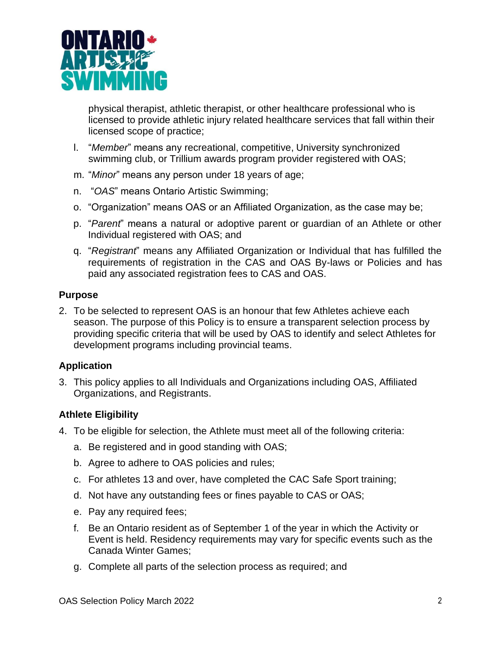

physical therapist, athletic therapist, or other healthcare professional who is licensed to provide athletic injury related healthcare services that fall within their licensed scope of practice;

- l. "*Member*" means any recreational, competitive, University synchronized swimming club, or Trillium awards program provider registered with OAS;
- m. "*Minor*" means any person under 18 years of age;
- n. "*OAS*" means Ontario Artistic Swimming;
- o. "Organization" means OAS or an Affiliated Organization, as the case may be;
- p. "*Parent*" means a natural or adoptive parent or guardian of an Athlete or other Individual registered with OAS; and
- q. "*Registrant*" means any Affiliated Organization or Individual that has fulfilled the requirements of registration in the CAS and OAS By-laws or Policies and has paid any associated registration fees to CAS and OAS.

#### **Purpose**

2. To be selected to represent OAS is an honour that few Athletes achieve each season. The purpose of this Policy is to ensure a transparent selection process by providing specific criteria that will be used by OAS to identify and select Athletes for development programs including provincial teams.

### **Application**

3. This policy applies to all Individuals and Organizations including OAS, Affiliated Organizations, and Registrants.

### **Athlete Eligibility**

- 4. To be eligible for selection, the Athlete must meet all of the following criteria:
	- a. Be registered and in good standing with OAS;
	- b. Agree to adhere to OAS policies and rules;
	- c. For athletes 13 and over, have completed the CAC Safe Sport training;
	- d. Not have any outstanding fees or fines payable to CAS or OAS;
	- e. Pay any required fees;
	- f. Be an Ontario resident as of September 1 of the year in which the Activity or Event is held. Residency requirements may vary for specific events such as the Canada Winter Games;
	- g. Complete all parts of the selection process as required; and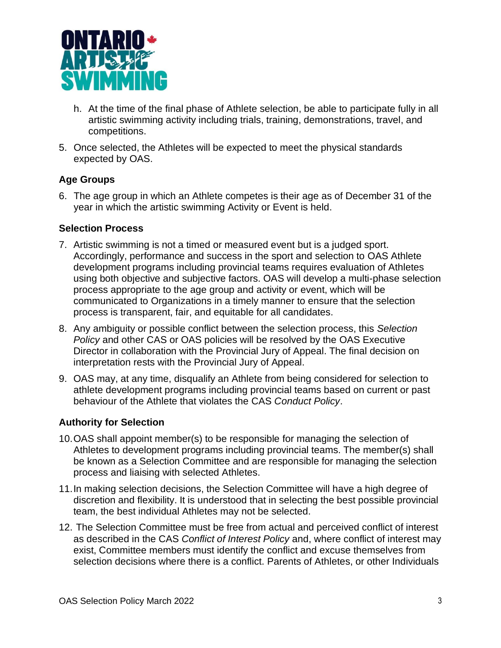

- h. At the time of the final phase of Athlete selection, be able to participate fully in all artistic swimming activity including trials, training, demonstrations, travel, and competitions.
- 5. Once selected, the Athletes will be expected to meet the physical standards expected by OAS.

## **Age Groups**

6. The age group in which an Athlete competes is their age as of December 31 of the year in which the artistic swimming Activity or Event is held.

### **Selection Process**

- 7. Artistic swimming is not a timed or measured event but is a judged sport. Accordingly, performance and success in the sport and selection to OAS Athlete development programs including provincial teams requires evaluation of Athletes using both objective and subjective factors. OAS will develop a multi-phase selection process appropriate to the age group and activity or event, which will be communicated to Organizations in a timely manner to ensure that the selection process is transparent, fair, and equitable for all candidates.
- 8. Any ambiguity or possible conflict between the selection process, this *Selection Policy* and other CAS or OAS policies will be resolved by the OAS Executive Director in collaboration with the Provincial Jury of Appeal. The final decision on interpretation rests with the Provincial Jury of Appeal.
- 9. OAS may, at any time, disqualify an Athlete from being considered for selection to athlete development programs including provincial teams based on current or past behaviour of the Athlete that violates the CAS *Conduct Policy*.

# **Authority for Selection**

- 10.OAS shall appoint member(s) to be responsible for managing the selection of Athletes to development programs including provincial teams. The member(s) shall be known as a Selection Committee and are responsible for managing the selection process and liaising with selected Athletes.
- 11.In making selection decisions, the Selection Committee will have a high degree of discretion and flexibility. It is understood that in selecting the best possible provincial team, the best individual Athletes may not be selected.
- 12. The Selection Committee must be free from actual and perceived conflict of interest as described in the CAS *Conflict of Interest Policy* and, where conflict of interest may exist, Committee members must identify the conflict and excuse themselves from selection decisions where there is a conflict. Parents of Athletes, or other Individuals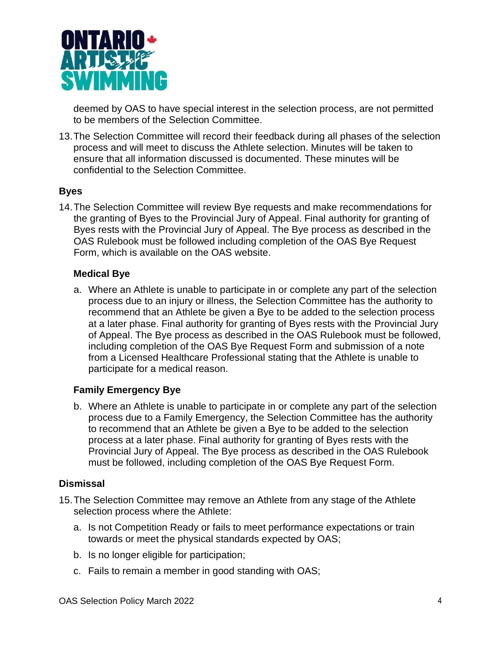

deemed by OAS to have special interest in the selection process, are not permitted to be members of the Selection Committee.

13.The Selection Committee will record their feedback during all phases of the selection process and will meet to discuss the Athlete selection. Minutes will be taken to ensure that all information discussed is documented. These minutes will be confidential to the Selection Committee.

## **Byes**

14.The Selection Committee will review Bye requests and make recommendations for the granting of Byes to the Provincial Jury of Appeal. Final authority for granting of Byes rests with the Provincial Jury of Appeal. The Bye process as described in the OAS Rulebook must be followed including completion of the OAS Bye Request Form, which is available on the OAS website.

### **Medical Bye**

a. Where an Athlete is unable to participate in or complete any part of the selection process due to an injury or illness, the Selection Committee has the authority to recommend that an Athlete be given a Bye to be added to the selection process at a later phase. Final authority for granting of Byes rests with the Provincial Jury of Appeal. The Bye process as described in the OAS Rulebook must be followed, including completion of the OAS Bye Request Form and submission of a note from a Licensed Healthcare Professional stating that the Athlete is unable to participate for a medical reason.

### **Family Emergency Bye**

b. Where an Athlete is unable to participate in or complete any part of the selection process due to a Family Emergency, the Selection Committee has the authority to recommend that an Athlete be given a Bye to be added to the selection process at a later phase. Final authority for granting of Byes rests with the Provincial Jury of Appeal. The Bye process as described in the OAS Rulebook must be followed, including completion of the OAS Bye Request Form.

### **Dismissal**

- 15.The Selection Committee may remove an Athlete from any stage of the Athlete selection process where the Athlete:
	- a. Is not Competition Ready or fails to meet performance expectations or train towards or meet the physical standards expected by OAS;
	- b. Is no longer eligible for participation;
	- c. Fails to remain a member in good standing with OAS;